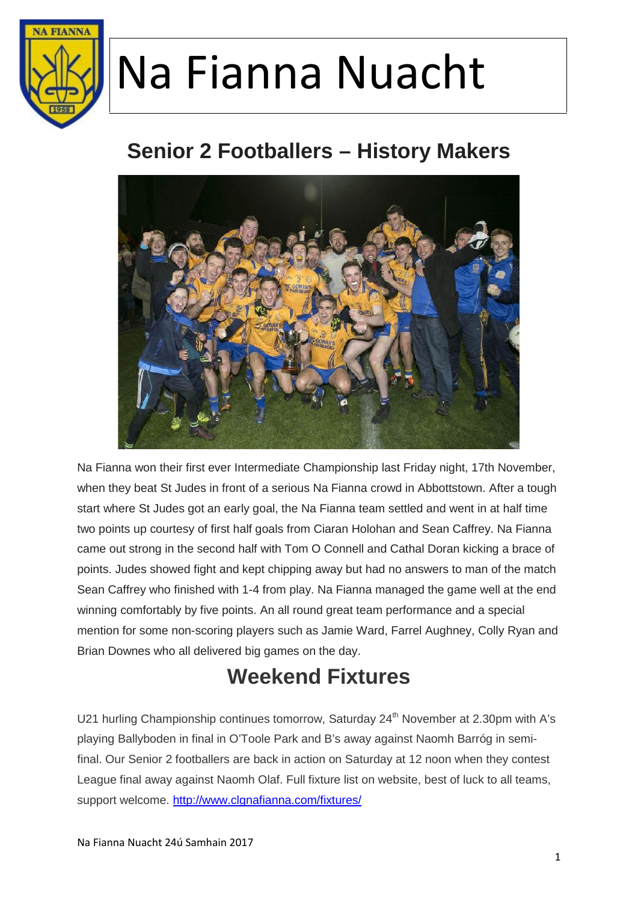

#### **Senior 2 Footballers – History Makers**



Na Fianna won their first ever Intermediate Championship last Friday night, 17th November, when they beat St Judes in front of a serious Na Fianna crowd in Abbottstown. After a tough start where St Judes got an early goal, the Na Fianna team settled and went in at half time two points up courtesy of first half goals from Ciaran Holohan and Sean Caffrey. Na Fianna came out strong in the second half with Tom O Connell and Cathal Doran kicking a brace of points. Judes showed fight and kept chipping away but had no answers to man of the match Sean Caffrey who finished with 1-4 from play. Na Fianna managed the game well at the end winning comfortably by five points. An all round great team performance and a special mention for some non-scoring players such as Jamie Ward, Farrel Aughney, Colly Ryan and Brian Downes who all delivered big games on the day.

#### **Weekend Fixtures**

U21 hurling Championship continues tomorrow, Saturday 24<sup>th</sup> November at 2.30pm with A's playing Ballyboden in final in O'Toole Park and B's away against Naomh Barróg in semifinal. Our Senior 2 footballers are back in action on Saturday at 12 noon when they contest League final away against Naomh Olaf. Full fixture list on website, best of luck to all teams, support welcome. http://www.clgnafianna.com/fixtures/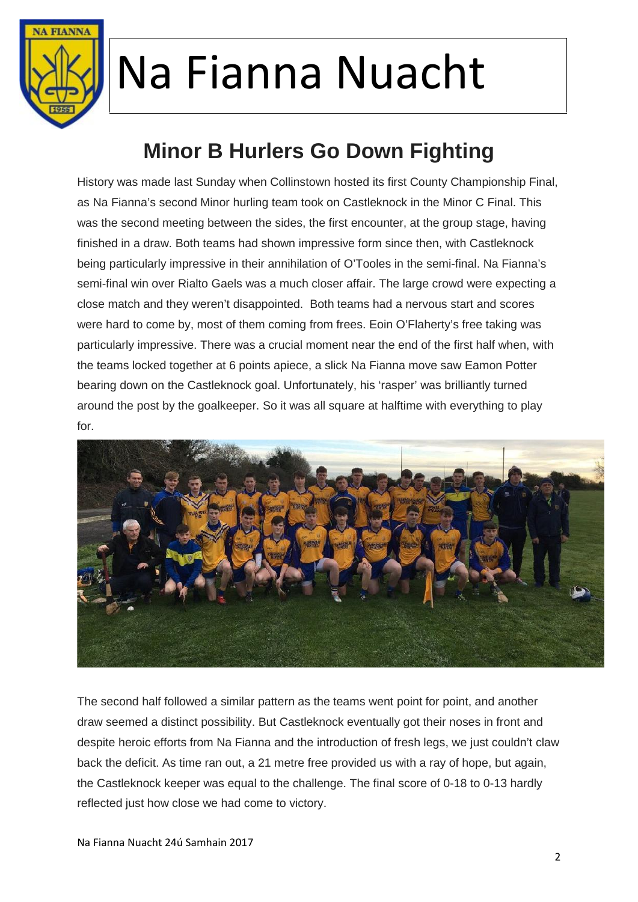

### **Minor B Hurlers Go Down Fighting**

History was made last Sunday when Collinstown hosted its first County Championship Final, as Na Fianna's second Minor hurling team took on Castleknock in the Minor C Final. This was the second meeting between the sides, the first encounter, at the group stage, having finished in a draw. Both teams had shown impressive form since then, with Castleknock being particularly impressive in their annihilation of O'Tooles in the semi-final. Na Fianna's semi-final win over Rialto Gaels was a much closer affair. The large crowd were expecting a close match and they weren't disappointed. Both teams had a nervous start and scores were hard to come by, most of them coming from frees. Eoin O'Flaherty's free taking was particularly impressive. There was a crucial moment near the end of the first half when, with the teams locked together at 6 points apiece, a slick Na Fianna move saw Eamon Potter bearing down on the Castleknock goal. Unfortunately, his 'rasper' was brilliantly turned around the post by the goalkeeper. So it was all square at halftime with everything to play for.



The second half followed a similar pattern as the teams went point for point, and another draw seemed a distinct possibility. But Castleknock eventually got their noses in front and despite heroic efforts from Na Fianna and the introduction of fresh legs, we just couldn't claw back the deficit. As time ran out, a 21 metre free provided us with a ray of hope, but again, the Castleknock keeper was equal to the challenge. The final score of 0-18 to 0-13 hardly reflected just how close we had come to victory.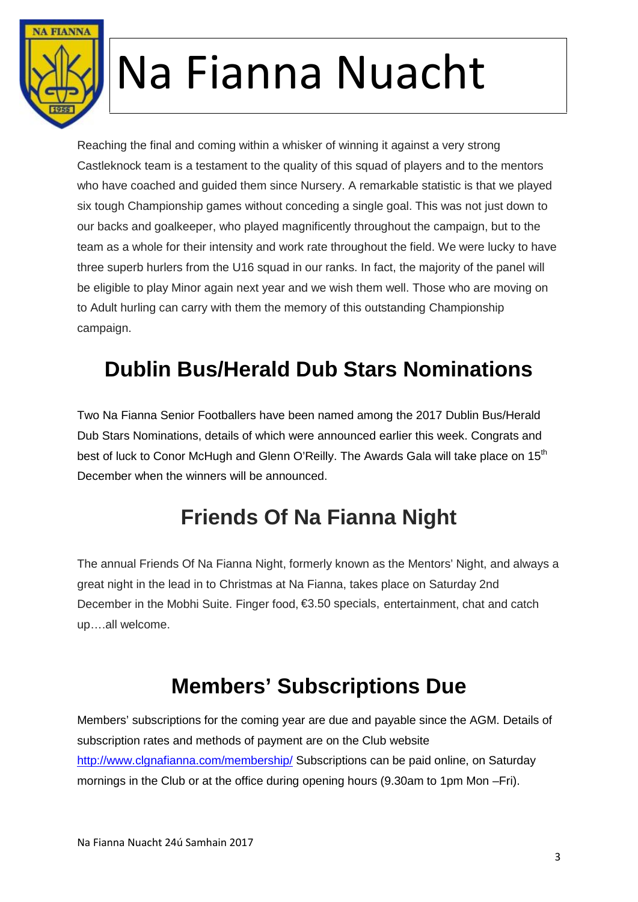

Reaching the final and coming within a whisker of winning it against a very strong Castleknock team is a testament to the quality of this squad of players and to the mentors who have coached and guided them since Nursery. A remarkable statistic is that we played six tough Championship games without conceding a single goal. This was not just down to our backs and goalkeeper, who played magnificently throughout the campaign, but to the team as a whole for their intensity and work rate throughout the field. We were lucky to have three superb hurlers from the U16 squad in our ranks. In fact, the majority of the panel will be eligible to play Minor again next year and we wish them well. Those who are moving on to Adult hurling can carry with them the memory of this outstanding Championship campaign.

### **Dublin Bus/Herald Dub Stars Nominations**

Two Na Fianna Senior Footballers have been named among the 2017 Dublin Bus/Herald Dub Stars Nominations, details of which were announced earlier this week. Congrats and best of luck to Conor McHugh and Glenn O'Reilly. The Awards Gala will take place on 15<sup>th</sup> December when the winners will be announced.

#### **Friends Of Na Fianna Night**

The annual Friends Of Na Fianna Night, formerly known as the Mentors' Night, and always a great night in the lead in to Christmas at Na Fianna, takes place on Saturday 2nd December in the Mobhi Suite. Finger food, €3.50 specials, entertainment, chat and catch up….all welcome.

#### **Members' Subscriptions Due**

Members' subscriptions for the coming year are due and payable since the AGM. Details of subscription rates and methods of payment are on the Club website http://www.clgnafianna.com/membership/ Subscriptions can be paid online, on Saturday mornings in the Club or at the office during opening hours (9.30am to 1pm Mon –Fri).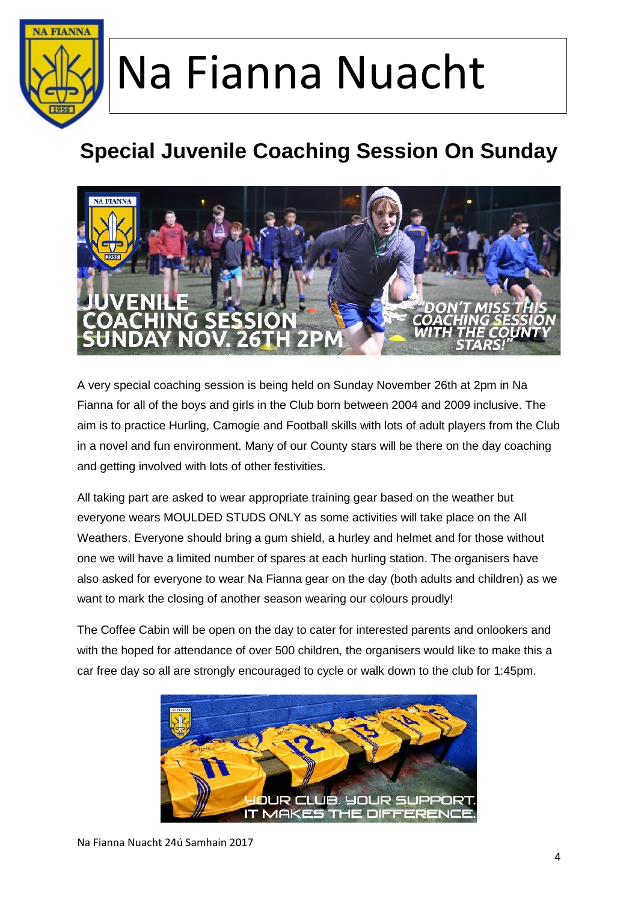

### **Special Juvenile Coaching Session On Sunday**



A very special coaching session is being held on Sunday November 26th at 2pm in Na Fianna for all of the boys and girls in the Club born between 2004 and 2009 inclusive. The aim is to practice Hurling, Camogie and Football skills with lots of adult players from the Club in a novel and fun environment. Many of our County stars will be there on the day coaching and getting involved with lots of other festivities.

All taking part are asked to wear appropriate training gear based on the weather but everyone wears MOULDED STUDS ONLY as some activities will take place on the All Weathers. Everyone should bring a gum shield, a hurley and helmet and for those without one we will have a limited number of spares at each hurling station. The organisers have also asked for everyone to wear Na Fianna gear on the day (both adults and children) as we want to mark the closing of another season wearing our colours proudly!

The Coffee Cabin will be open on the day to cater for interested parents and onlookers and with the hoped for attendance of over 500 children, the organisers would like to make this a car free day so all are strongly encouraged to cycle or walk down to the club for 1:45pm.

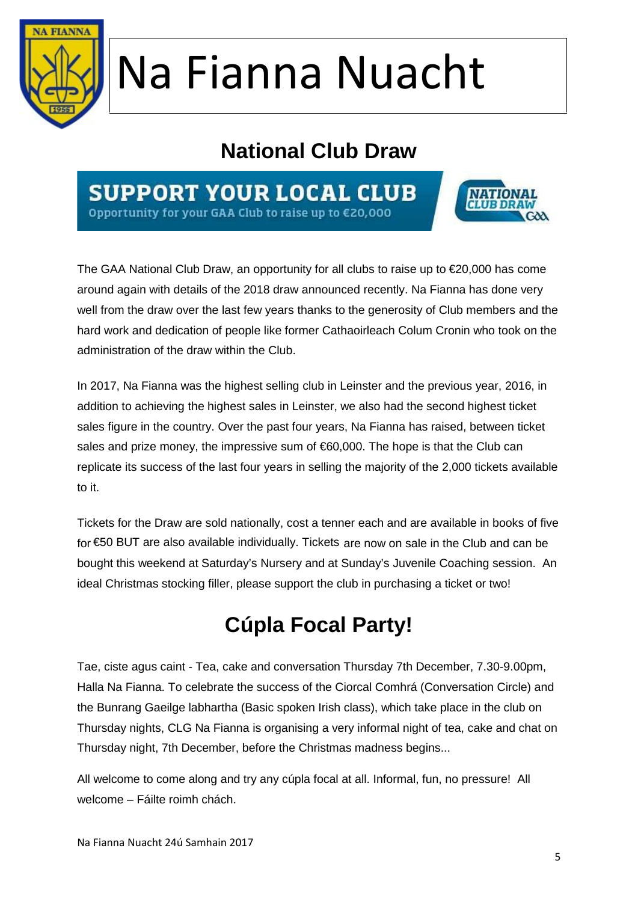

#### **National Club Draw**

**SUPPORT YOUR LOCAL CLUB** Opportunity for your GAA Club to raise up to €20,000



The GAA National Club Draw, an opportunity for all clubs to raise up to €20,000 has come around again with details of the 2018 draw announced recently. Na Fianna has done very well from the draw over the last few years thanks to the generosity of Club members and the hard work and dedication of people like former Cathaoirleach Colum Cronin who took on the administration of the draw within the Club.

In 2017, Na Fianna was the highest selling club in Leinster and the previous year, 2016, in addition to achieving the highest sales in Leinster, we also had the second highest ticket sales figure in the country. Over the past four years, Na Fianna has raised, between ticket sales and prize money, the impressive sum of €60,000. The hope is that the Club can replicate its success of the last four years in selling the majority of the 2,000 tickets available to it.

Tickets for the Draw are sold nationally, cost a tenner each and are available in books of five for €50 BUT are also available individually. Tickets are now on sale in the Club and can be bought this weekend at Saturday's Nursery and at Sunday's Juvenile Coaching session. An ideal Christmas stocking filler, please support the club in purchasing a ticket or two!

### **Cúpla Focal Party!**

Tae, ciste agus caint - Tea, cake and conversation Thursday 7th December, 7.30-9.00pm, Halla Na Fianna. To celebrate the success of the Ciorcal Comhrá (Conversation Circle) and the Bunrang Gaeilge labhartha (Basic spoken Irish class), which take place in the club on Thursday nights, CLG Na Fianna is organising a very informal night of tea, cake and chat on Thursday night, 7th December, before the Christmas madness begins...

All welcome to come along and try any cúpla focal at all. Informal, fun, no pressure! All welcome – Fáilte roimh chách.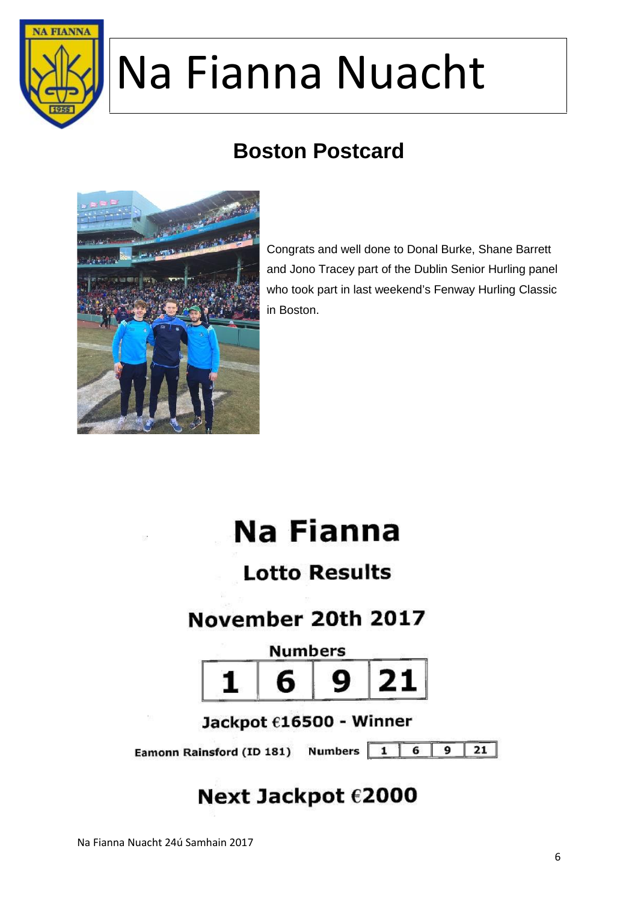

### **Boston Postcard**



Congrats and well done to Donal Burke, Shane Barrett and Jono Tracey part of the Dublin Senior Hurling panel who took part in last weekend's Fenway Hurling Classic in Boston.

### **Na Fianna**

#### **Lotto Results**

#### November 20th 2017



Jackpot  $616500$  - Winner

Eamonn Rainsford (ID 181) Numbers 1

 $\overline{21}$ 6  $\mathbf{Q}$ 

#### Next Jackpot €2000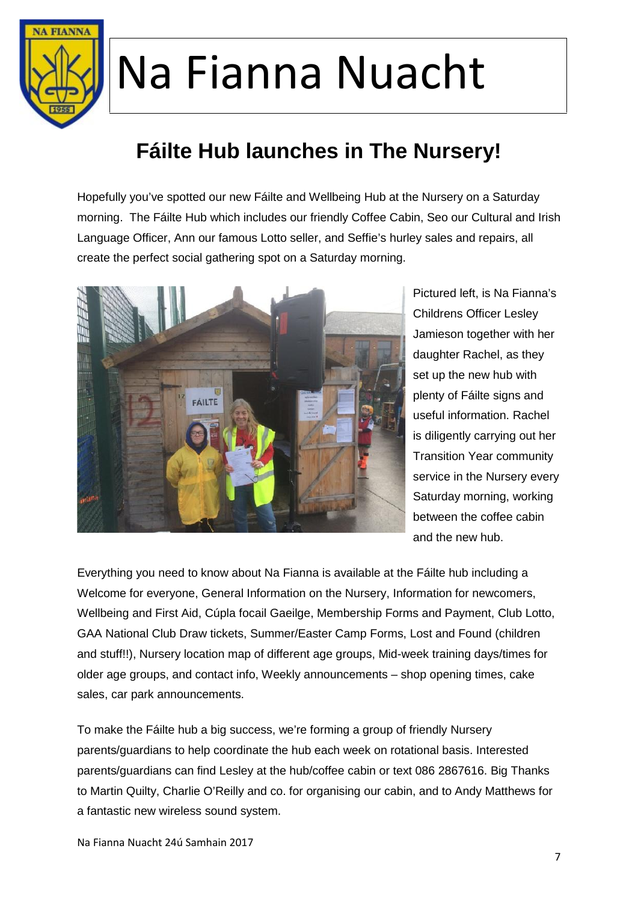

### **Fáilte Hub launches in The Nursery!**

Hopefully you've spotted our new Fáilte and Wellbeing Hub at the Nursery on a Saturday morning. The Fáilte Hub which includes our friendly Coffee Cabin, Seo our Cultural and Irish Language Officer, Ann our famous Lotto seller, and Seffie's hurley sales and repairs, all create the perfect social gathering spot on a Saturday morning.



Pictured left, is Na Fianna's Childrens Officer Lesley Jamieson together with her daughter Rachel, as they set up the new hub with plenty of Fáilte signs and useful information. Rachel is diligently carrying out her Transition Year community service in the Nursery every Saturday morning, working between the coffee cabin and the new hub.

Everything you need to know about Na Fianna is available at the Fáilte hub including a Welcome for everyone, General Information on the Nursery, Information for newcomers, Wellbeing and First Aid, Cúpla focail Gaeilge, Membership Forms and Payment, Club Lotto, GAA National Club Draw tickets, Summer/Easter Camp Forms, Lost and Found (children and stuff!!), Nursery location map of different age groups, Mid-week training days/times for older age groups, and contact info, Weekly announcements – shop opening times, cake sales, car park announcements.

To make the Fáilte hub a big success, we're forming a group of friendly Nursery parents/guardians to help coordinate the hub each week on rotational basis. Interested parents/guardians can find Lesley at the hub/coffee cabin or text 086 2867616. Big Thanks to Martin Quilty, Charlie O'Reilly and co. for organising our cabin, and to Andy Matthews for a fantastic new wireless sound system.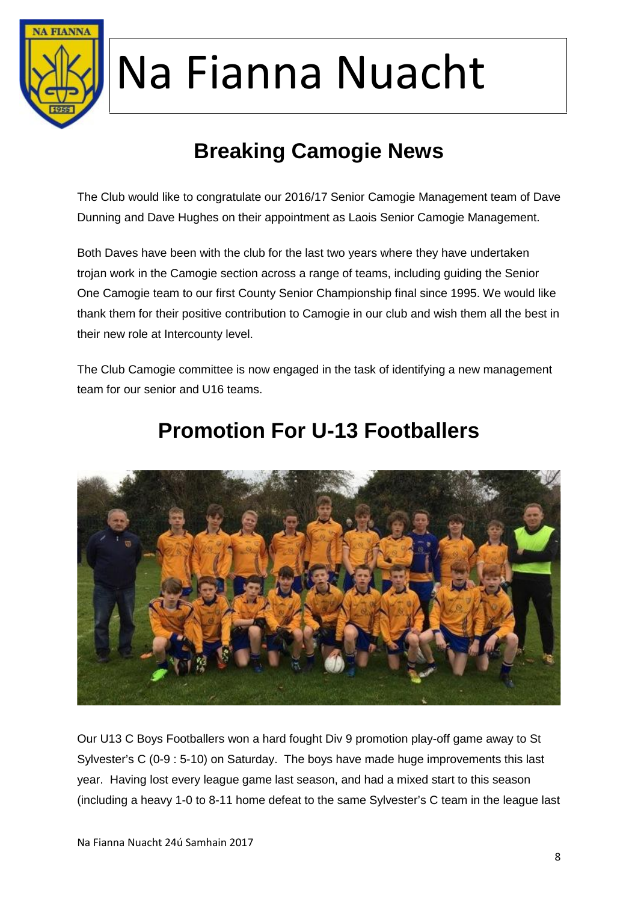

### **Breaking Camogie News**

The Club would like to congratulate our 2016/17 Senior Camogie Management team of Dave Dunning and Dave Hughes on their appointment as Laois Senior Camogie Management.

Both Daves have been with the club for the last two years where they have undertaken trojan work in the Camogie section across a range of teams, including guiding the Senior One Camogie team to our first County Senior Championship final since 1995. We would like thank them for their positive contribution to Camogie in our club and wish them all the best in their new role at Intercounty level.

The Club Camogie committee is now engaged in the task of identifying a new management team for our senior and U16 teams.



#### **Promotion For U-13 Footballers**

Our U13 C Boys Footballers won a hard fought Div 9 promotion play-off game away to St Sylvester's C (0-9 : 5-10) on Saturday. The boys have made huge improvements this last year. Having lost every league game last season, and had a mixed start to this season (including a heavy 1-0 to 8-11 home defeat to the same Sylvester's C team in the league last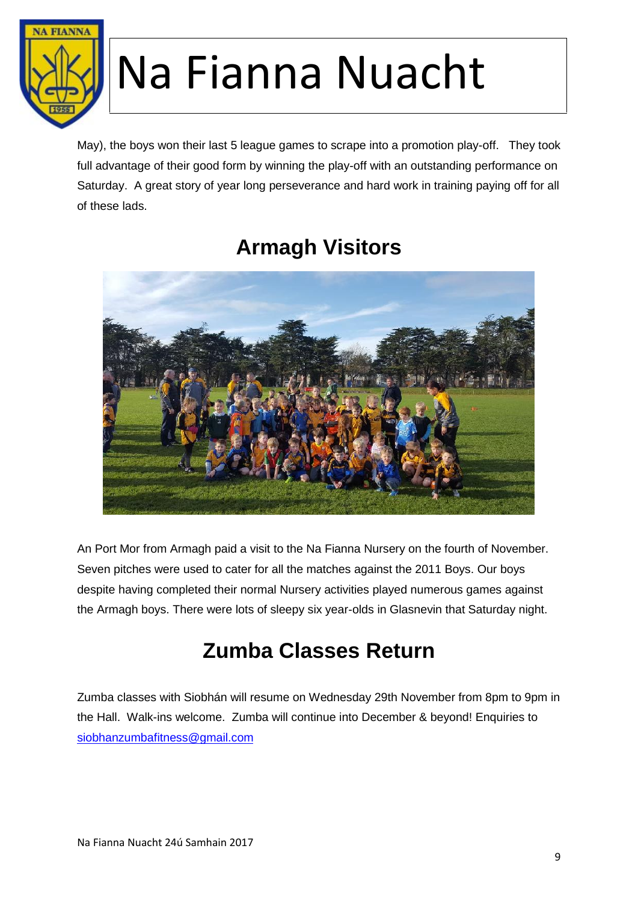

May), the boys won their last 5 league games to scrape into a promotion play-off. They took full advantage of their good form by winning the play-off with an outstanding performance on Saturday. A great story of year long perseverance and hard work in training paying off for all of these lads.

#### **Armagh Visitors**



An Port Mor from Armagh paid a visit to the Na Fianna Nursery on the fourth of November. Seven pitches were used to cater for all the matches against the 2011 Boys. Our boys despite having completed their normal Nursery activities played numerous games against the Armagh boys. There were lots of sleepy six year-olds in Glasnevin that Saturday night.

#### **Zumba Classes Return**

Zumba classes with Siobhán will resume on Wednesday 29th November from 8pm to 9pm in the Hall. Walk-ins welcome. Zumba will continue into December & beyond! Enquiries to siobhanzumbafitness@gmail.com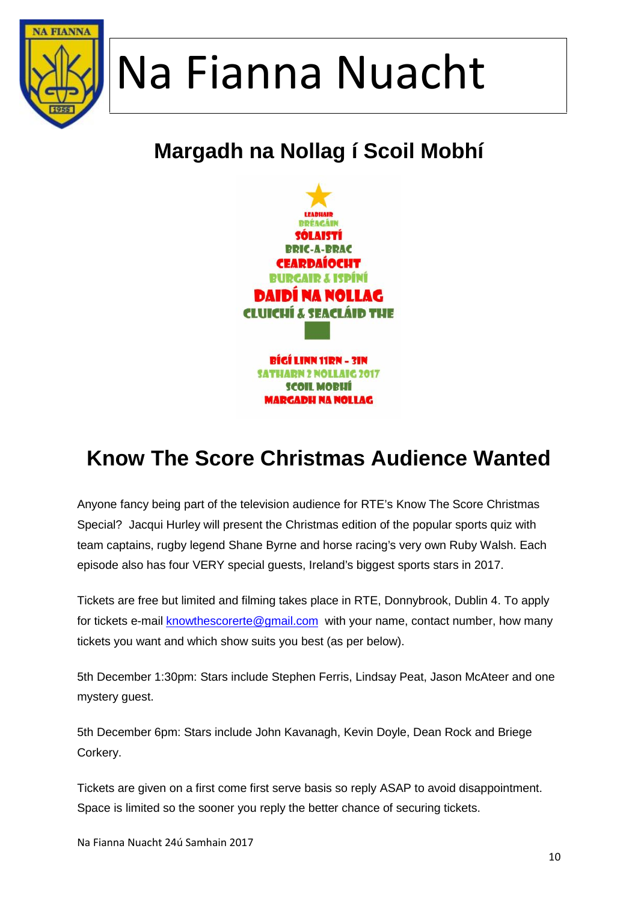

### **Margadh na Nollag í Scoil Mobhí**



### **Know The Score Christmas Audience Wanted**

Anyone fancy being part of the television audience for RTE's Know The Score Christmas Special? Jacqui Hurley will present the Christmas edition of the popular sports quiz with team captains, rugby legend Shane Byrne and horse racing's very own Ruby Walsh. Each episode also has four VERY special guests, Ireland's biggest sports stars in 2017.

Tickets are free but limited and filming takes place in RTE, Donnybrook, Dublin 4. To apply for tickets e-mail knowthescorerte@gmail.com with your name, contact number, how many tickets you want and which show suits you best (as per below).

5th December 1:30pm: Stars include Stephen Ferris, Lindsay Peat, Jason McAteer and one mystery guest.

5th December 6pm: Stars include John Kavanagh, Kevin Doyle, Dean Rock and Briege Corkery.

Tickets are given on a first come first serve basis so reply ASAP to avoid disappointment. Space is limited so the sooner you reply the better chance of securing tickets.